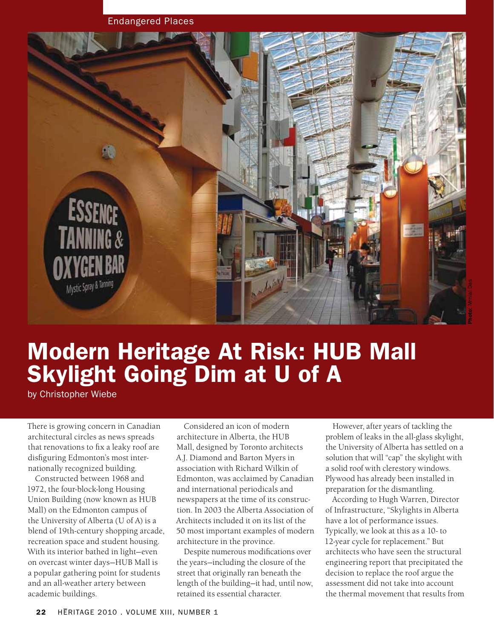Endangered Places



## Modern Heritage At Risk: HUB Mall Skylight Going Dim at U of A

by Christopher Wiebe

There is growing concern in Canadian architectural circles as news spreads that renovations to fix a leaky roof are disfiguring Edmonton's most internationally recognized building.

Constructed between 1968 and 1972, the four-block-long Housing Union Building (now known as HUB Mall) on the Edmonton campus of the University of Alberta (U of A) is a blend of 19th-century shopping arcade, recreation space and student housing. With its interior bathed in light—even on overcast winter days—HUB Mall is a popular gathering point for students and an all-weather artery between academic buildings.

Considered an icon of modern architecture in Alberta, the HUB Mall, designed by Toronto architects A.J. Diamond and Barton Myers in association with Richard Wilkin of Edmonton, was acclaimed by Canadian and international periodicals and newspapers at the time of its construction. In 2003 the Alberta Association of Architects included it on its list of the 50 most important examples of modern architecture in the province.

Despite numerous modifications over the years—including the closure of the street that originally ran beneath the length of the building—it had, until now, retained its essential character.

However, after years of tackling the problem of leaks in the all-glass skylight, the University of Alberta has settled on a solution that will "cap" the skylight with a solid roof with clerestory windows. Plywood has already been installed in preparation for the dismantling.

According to Hugh Warren, Director of Infrastructure, "Skylights in Alberta have a lot of performance issues. Typically, we look at this as a 10- to 12-year cycle for replacement." But architects who have seen the structural engineering report that precipitated the decision to replace the roof argue the assessment did not take into account the thermal movement that results from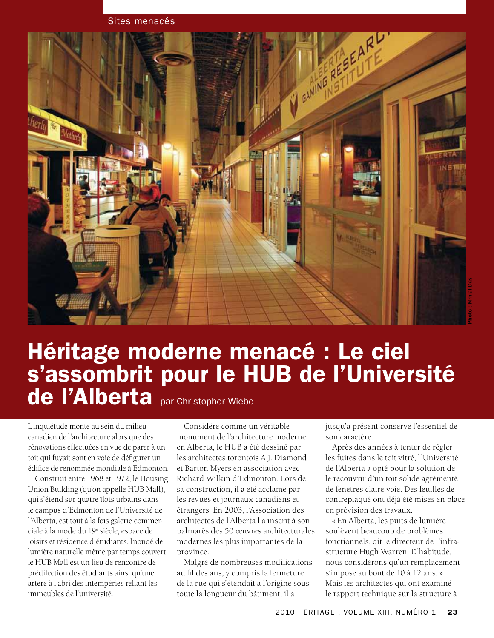Sites menacés



## Héritage moderne menacé : Le ciel s'assombrit pour le HUB de l'Université de l'Alberta par Christopher Wiebe

L'inquiétude monte au sein du milieu canadien de l'architecture alors que des rénovations effectuées en vue de parer à un toit qui fuyait sont en voie de défigurer un édifice de renommée mondiale à Edmonton.

Construit entre 1968 et 1972, le Housing Union Building (qu'on appelle HUB Mall), qui s'étend sur quatre îlots urbains dans le campus d'Edmonton de l'Université de l'Alberta, est tout à la fois galerie commerciale à la mode du 19e siècle, espace de loisirs et résidence d'étudiants. Inondé de lumière naturelle même par temps couvert, le HUB Mall est un lieu de rencontre de prédilection des étudiants ainsi qu'une artère à l'abri des intempéries reliant les immeubles de l'université.

Considéré comme un véritable monument de l'architecture moderne en Alberta, le HUB a été dessiné par les architectes torontois A.J. Diamond et Barton Myers en association avec Richard Wilkin d'Edmonton. Lors de sa construction, il a été acclamé par les revues et journaux canadiens et étrangers. En 2003, l'Association des architectes de l'Alberta l'a inscrit à son palmarès des 50 œuvres architecturales modernes les plus importantes de la province.

Malgré de nombreuses modifications au fil des ans, y compris la fermeture de la rue qui s'étendait à l'origine sous toute la longueur du bâtiment, il a

jusqu'à présent conservé l'essentiel de son caractère.

Après des années à tenter de régler les fuites dans le toit vitré, l'Université de l'Alberta a opté pour la solution de le recouvrir d'un toit solide agrémenté de fenêtres claire-voie. Des feuilles de contreplaqué ont déjà été mises en place en prévision des travaux.

« En Alberta, les puits de lumière soulèvent beaucoup de problèmes fonctionnels, dit le directeur de l'infrastructure Hugh Warren. D'habitude, nous considérons qu'un remplacement s'impose au bout de 10 à 12 ans. » Mais les architectes qui ont examiné le rapport technique sur la structure à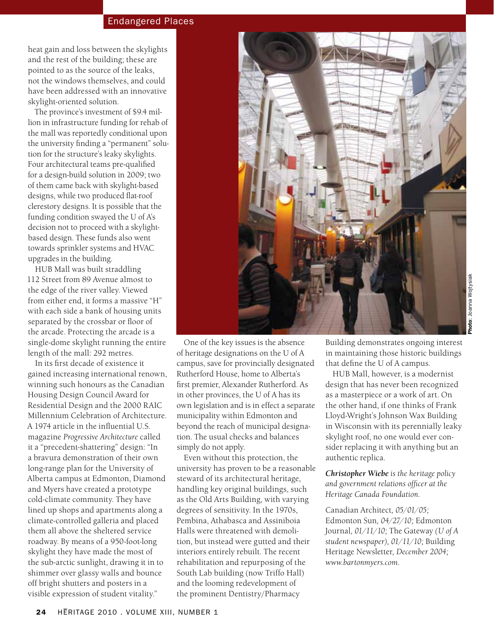## Endangered Places

heat gain and loss between the skylights and the rest of the building; these are pointed to as the source of the leaks, not the windows themselves, and could have been addressed with an innovative skylight-oriented solution.

The province's investment of \$9.4 million in infrastructure funding for rehab of the mall was reportedly conditional upon the university finding a "permanent" solution for the structure's leaky skylights. Four architectural teams pre-qualified for a design-build solution in 2009; two of them came back with skylight-based designs, while two produced flat-roof clerestory designs. It is possible that the funding condition swayed the U of A's decision not to proceed with a skylightbased design. These funds also went towards sprinkler systems and HVAC upgrades in the building.

HUB Mall was built straddling 112 Street from 89 Avenue almost to the edge of the river valley. Viewed from either end, it forms a massive "H" with each side a bank of housing units separated by the crossbar or floor of the arcade. Protecting the arcade is a single-dome skylight running the entire length of the mall: 292 metres.

In its first decade of existence it gained increasing international renown, winning such honours as the Canadian Housing Design Council Award for Residential Design and the 2000 RAIC Millennium Celebration of Architecture. A 1974 article in the influential U.S. magazine *Progressive Architecture* called it a "precedent-shattering" design: "In a bravura demonstration of their own long-range plan for the University of Alberta campus at Edmonton, Diamond and Myers have created a prototype cold-climate community. They have lined up shops and apartments along a climate-controlled galleria and placed them all above the sheltered service roadway. By means of a 950-foot-long skylight they have made the most of the sub-arctic sunlight, drawing it in to shimmer over glassy walls and bounce off bright shutters and posters in a visible expression of student vitality."



Photo: Joanna Wojtysiak Photo: Joanna Wojtysiak

One of the key issues is the absence of heritage designations on the U of A campus, save for provincially designated Rutherford House, home to Alberta's first premier, Alexander Rutherford. As in other provinces, the U of A has its own legislation and is in effect a separate municipality within Edmonton and beyond the reach of municipal designation. The usual checks and balances simply do not apply.

Even without this protection, the university has proven to be a reasonable steward of its architectural heritage, handling key original buildings, such as the Old Arts Building, with varying degrees of sensitivity. In the 1970s, Pembina, Athabasca and Assiniboia Halls were threatened with demolition, but instead were gutted and their interiors entirely rebuilt. The recent rehabilitation and repurposing of the South Lab building (now Triffo Hall) and the looming redevelopment of the prominent Dentistry/Pharmacy

Building demonstrates ongoing interest in maintaining those historic buildings that define the U of A campus.

HUB Mall, however, is a modernist design that has never been recognized as a masterpiece or a work of art. On the other hand, if one thinks of Frank Lloyd-Wright's Johnson Wax Building in Wisconsin with its perennially leaky skylight roof, no one would ever consider replacing it with anything but an authentic replica.

*Christopher Wiebe is the heritage policy and government relations officer at the Heritage Canada Foundation.*

Canadian Architect*, 05/01/05;*  Edmonton Sun*, 04/27/10;* Edmonton Journal*, 01/11/10;* The Gateway *(U of A student newspaper), 01/11/10;* Building Heritage Newsletter*, December 2004; www.bartonmyers.com.*